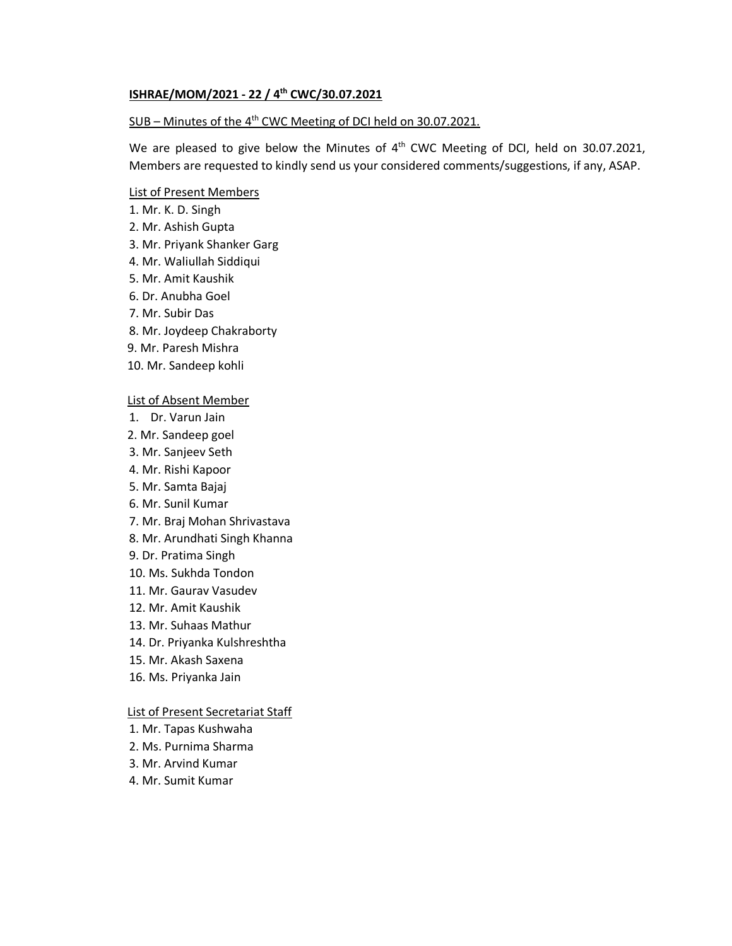# **ISHRAE/MOM/2021 - 22 / 4 th CWC/30.07.2021**

## SUB – Minutes of the 4<sup>th</sup> CWC Meeting of DCI held on 30.07.2021.

We are pleased to give below the Minutes of  $4<sup>th</sup>$  CWC Meeting of DCI, held on 30.07.2021, Members are requested to kindly send us your considered comments/suggestions, if any, ASAP.

### List of Present Members

- 1. Mr. K. D. Singh
- 2. Mr. Ashish Gupta
- 3. Mr. Priyank Shanker Garg
- 4. Mr. Waliullah Siddiqui
- 5. Mr. Amit Kaushik
- 6. Dr. Anubha Goel
- 7. Mr. Subir Das
- 8. Mr. Joydeep Chakraborty
- 9. Mr. Paresh Mishra
- 10. Mr. Sandeep kohli

### List of Absent Member

- 1. Dr. Varun Jain
- 2. Mr. Sandeep goel
- 3. Mr. Sanjeev Seth
- 4. Mr. Rishi Kapoor
- 5. Mr. Samta Bajaj
- 6. Mr. Sunil Kumar
- 7. Mr. Braj Mohan Shrivastava
- 8. Mr. Arundhati Singh Khanna
- 9. Dr. Pratima Singh
- 10. Ms. Sukhda Tondon
- 11. Mr. Gaurav Vasudev
- 12. Mr. Amit Kaushik
- 13. Mr. Suhaas Mathur
- 14. Dr. Priyanka Kulshreshtha
- 15. Mr. Akash Saxena
- 16. Ms. Priyanka Jain

#### List of Present Secretariat Staff

- 1. Mr. Tapas Kushwaha
- 2. Ms. Purnima Sharma
- 3. Mr. Arvind Kumar
- 4. Mr. Sumit Kumar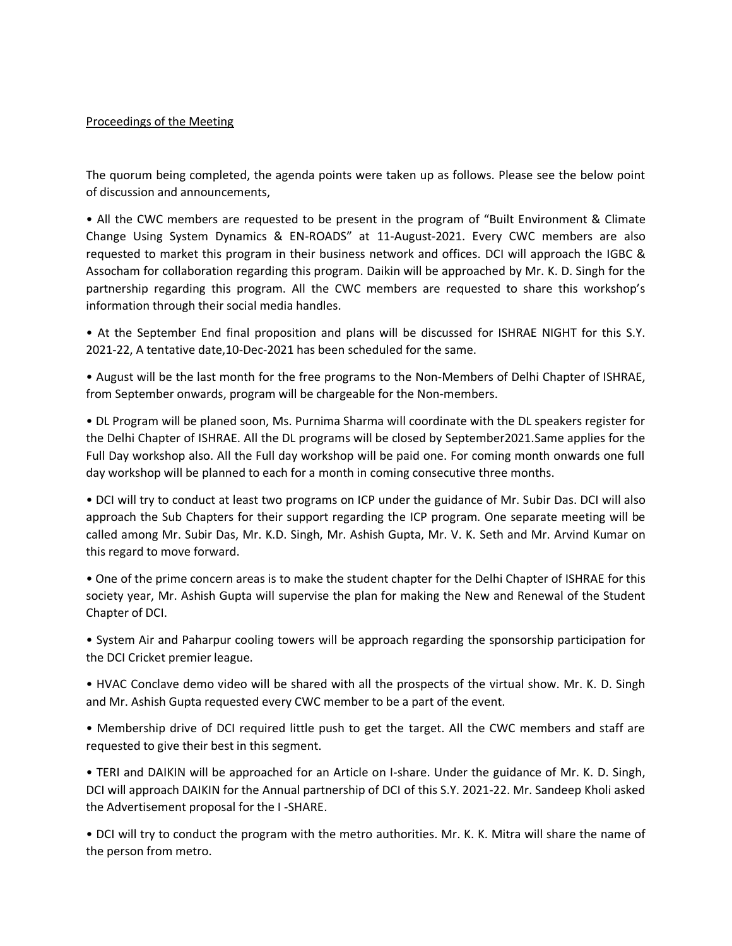# Proceedings of the Meeting

The quorum being completed, the agenda points were taken up as follows. Please see the below point of discussion and announcements,

• All the CWC members are requested to be present in the program of "Built Environment & Climate Change Using System Dynamics & EN-ROADS" at 11-August-2021. Every CWC members are also requested to market this program in their business network and offices. DCI will approach the IGBC & Assocham for collaboration regarding this program. Daikin will be approached by Mr. K. D. Singh for the partnership regarding this program. All the CWC members are requested to share this workshop's information through their social media handles.

• At the September End final proposition and plans will be discussed for ISHRAE NIGHT for this S.Y. 2021-22, A tentative date,10-Dec-2021 has been scheduled for the same.

• August will be the last month for the free programs to the Non-Members of Delhi Chapter of ISHRAE, from September onwards, program will be chargeable for the Non-members.

• DL Program will be planed soon, Ms. Purnima Sharma will coordinate with the DL speakers register for the Delhi Chapter of ISHRAE. All the DL programs will be closed by September2021.Same applies for the Full Day workshop also. All the Full day workshop will be paid one. For coming month onwards one full day workshop will be planned to each for a month in coming consecutive three months.

• DCI will try to conduct at least two programs on ICP under the guidance of Mr. Subir Das. DCI will also approach the Sub Chapters for their support regarding the ICP program. One separate meeting will be called among Mr. Subir Das, Mr. K.D. Singh, Mr. Ashish Gupta, Mr. V. K. Seth and Mr. Arvind Kumar on this regard to move forward.

• One of the prime concern areas is to make the student chapter for the Delhi Chapter of ISHRAE for this society year, Mr. Ashish Gupta will supervise the plan for making the New and Renewal of the Student Chapter of DCI.

• System Air and Paharpur cooling towers will be approach regarding the sponsorship participation for the DCI Cricket premier league.

• HVAC Conclave demo video will be shared with all the prospects of the virtual show. Mr. K. D. Singh and Mr. Ashish Gupta requested every CWC member to be a part of the event.

• Membership drive of DCI required little push to get the target. All the CWC members and staff are requested to give their best in this segment.

• TERI and DAIKIN will be approached for an Article on I-share. Under the guidance of Mr. K. D. Singh, DCI will approach DAIKIN for the Annual partnership of DCI of this S.Y. 2021-22. Mr. Sandeep Kholi asked the Advertisement proposal for the I -SHARE.

• DCI will try to conduct the program with the metro authorities. Mr. K. K. Mitra will share the name of the person from metro.